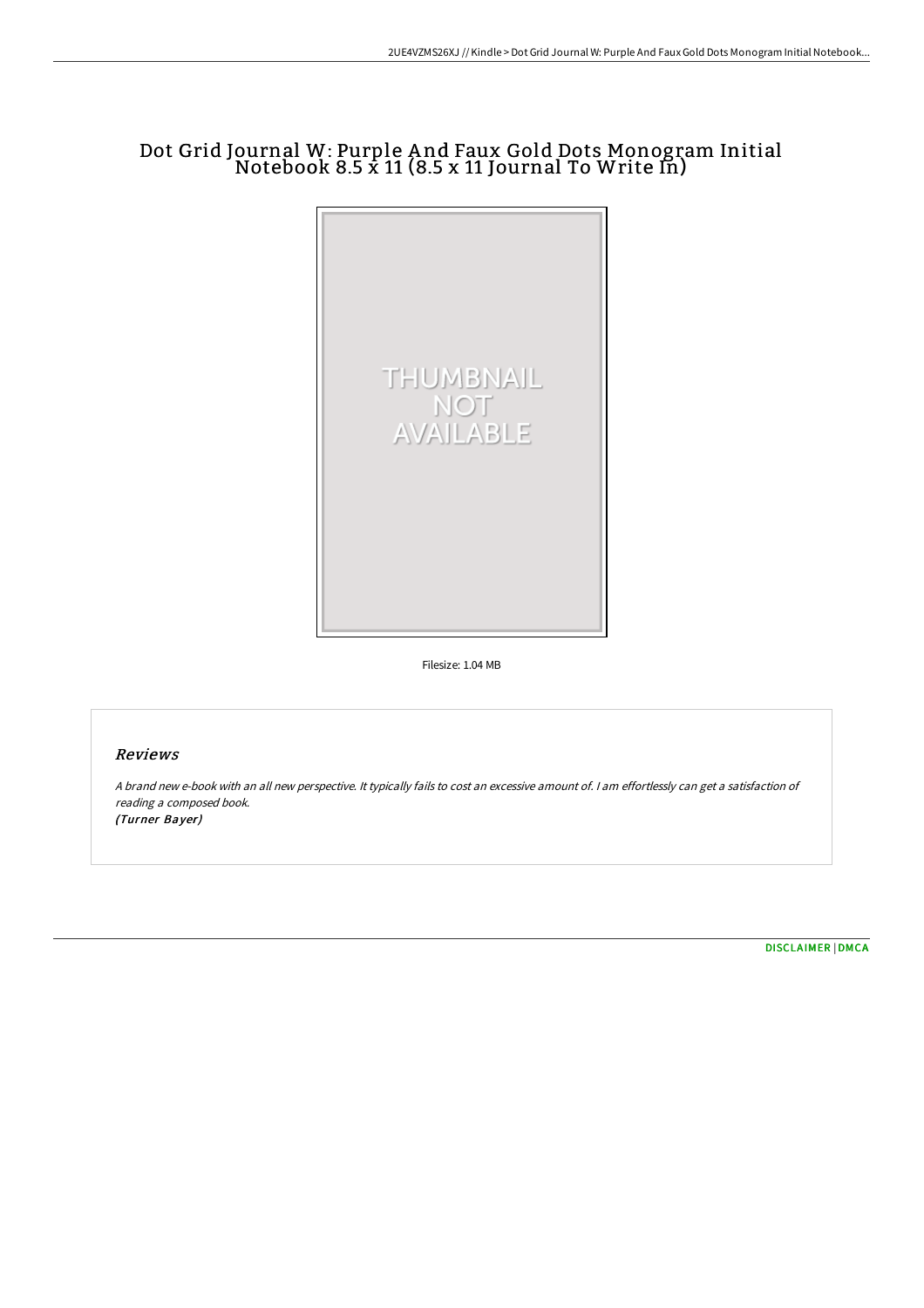# Dot Grid Journal W: Purple A nd Faux Gold Dots Monogram Initial Notebook 8.5 x 11 (8.5 x 11 Journal To Write In)



Filesize: 1.04 MB

# Reviews

<sup>A</sup> brand new e-book with an all new perspective. It typically fails to cost an excessive amount of. <sup>I</sup> am effortlessly can get <sup>a</sup> satisfaction of reading <sup>a</sup> composed book. (Turner Bayer)

[DISCLAIMER](http://techno-pub.tech/disclaimer.html) | [DMCA](http://techno-pub.tech/dmca.html)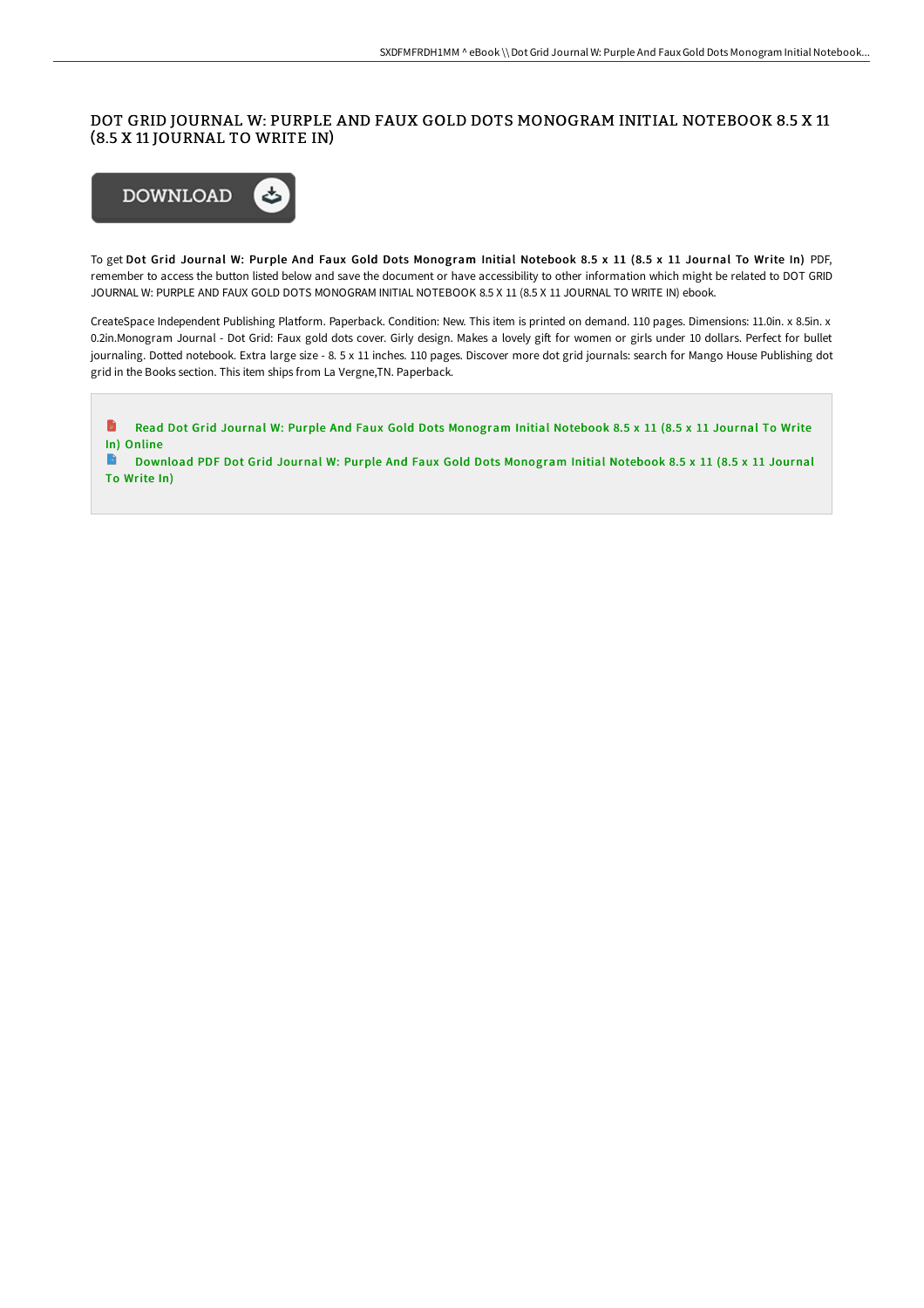# DOT GRID JOURNAL W: PURPLE AND FAUX GOLD DOTS MONOGRAM INITIAL NOTEBOOK 8.5 X 11 (8.5 X 11 JOURNAL TO WRITE IN)



To get Dot Grid Journal W: Purple And Faux Gold Dots Monogram Initial Notebook 8.5 x 11 (8.5 x 11 Journal To Write In) PDF, remember to access the button listed below and save the document or have accessibility to other information which might be related to DOT GRID JOURNAL W: PURPLE AND FAUX GOLD DOTS MONOGRAM INITIAL NOTEBOOK 8.5 X 11 (8.5 X 11 JOURNAL TO WRITE IN) ebook.

CreateSpace Independent Publishing Platform. Paperback. Condition: New. This item is printed on demand. 110 pages. Dimensions: 11.0in. x 8.5in. x 0.2in.Monogram Journal - Dot Grid: Faux gold dots cover. Girly design. Makes a lovely gift for women or girls under 10 dollars. Perfect for bullet journaling. Dotted notebook. Extra large size - 8. 5 x 11 inches. 110 pages. Discover more dot grid journals: search for Mango House Publishing dot grid in the Books section. This item ships from La Vergne,TN. Paperback.